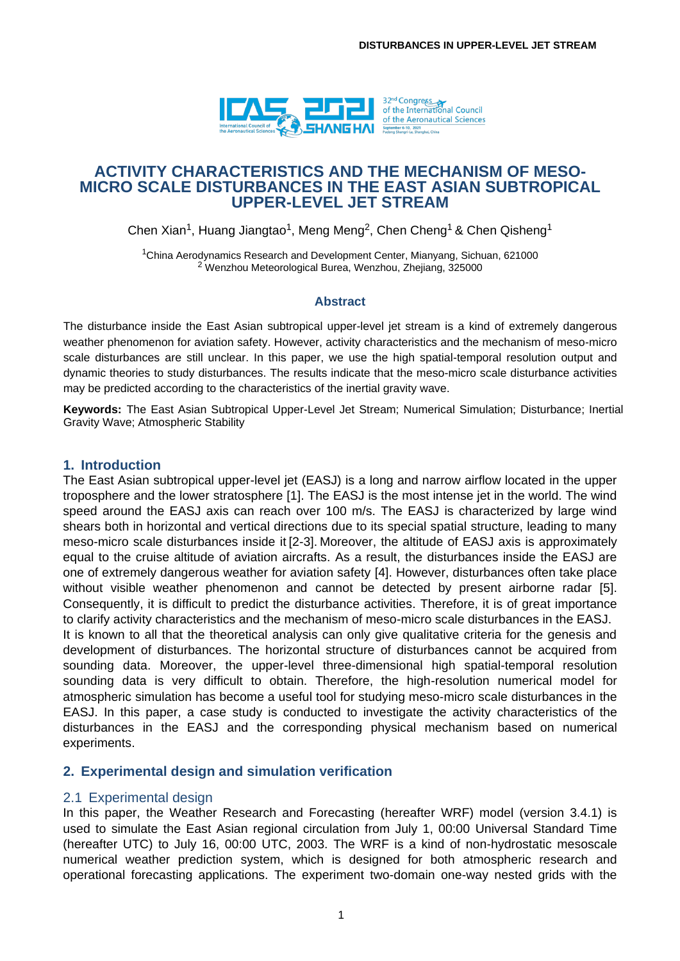

# **ACTIVITY CHARACTERISTICS AND THE MECHANISM OF MESO-MICRO SCALE DISTURBANCES IN THE EAST ASIAN SUBTROPICAL UPPER-LEVEL JET STREAM**

Chen Xian<sup>1</sup>, Huang Jiangtao<sup>1</sup>, Meng Meng<sup>2</sup>, Chen Cheng<sup>1</sup> & Chen Qisheng<sup>1</sup>

<sup>1</sup>China Aerodynamics Research and Development Center, Mianyang, Sichuan, 621000 <sup>2</sup> Wenzhou Meteorological Burea, Wenzhou, Zhejiang, 325000

#### **Abstract**

The disturbance inside the East Asian subtropical upper-level jet stream is a kind of extremely dangerous weather phenomenon for aviation safety. However, activity characteristics and the mechanism of meso-micro scale disturbances are still unclear. In this paper, we use the high spatial-temporal resolution output and dynamic theories to study disturbances. The results indicate that the meso-micro scale disturbance activities may be predicted according to the characteristics of the inertial gravity wave.

**Keywords:** The East Asian Subtropical Upper-Level Jet Stream; Numerical Simulation; Disturbance; Inertial Gravity Wave; Atmospheric Stability

### **1. Introduction**

The East Asian subtropical upper-level jet (EASJ) is a long and narrow airflow located in the upper troposphere and the lower stratosphere [1]. The EASJ is the most intense jet in the world. The wind speed around the EASJ axis can reach over 100 m/s. The EASJ is characterized by large wind shears both in horizontal and vertical directions due to its special spatial structure, leading to many meso-micro scale disturbances inside it [2-3]. Moreover, the altitude of EASJ axis is approximately equal to the cruise altitude of aviation aircrafts. As a result, the disturbances inside the EASJ are one of extremely dangerous weather for aviation safety [4]. However, disturbances often take place without visible weather phenomenon and cannot be detected by present airborne radar [5]. Consequently, it is difficult to predict the disturbance activities. Therefore, it is of great importance to clarify activity characteristics and the mechanism of meso-micro scale disturbances in the EASJ. It is known to all that the theoretical analysis can only give qualitative criteria for the genesis and development of disturbances. The horizontal structure of disturbances cannot be acquired from sounding data. Moreover, the upper-level three-dimensional high spatial-temporal resolution sounding data is very difficult to obtain. Therefore, the high-resolution numerical model for atmospheric simulation has become a useful tool for studying meso-micro scale disturbances in the EASJ. In this paper, a case study is conducted to investigate the activity characteristics of the disturbances in the EASJ and the corresponding physical mechanism based on numerical experiments.

## **2. Experimental design and simulation verification**

### 2.1 Experimental design

In this paper, the Weather Research and Forecasting (hereafter WRF) model (version 3.4.1) is used to simulate the East Asian regional circulation from July 1, 00:00 Universal Standard Time (hereafter UTC) to July 16, 00:00 UTC, 2003. The WRF is a kind of non-hydrostatic mesoscale numerical weather prediction system, which is designed for both atmospheric research and operational forecasting applications. The experiment two-domain one-way nested grids with the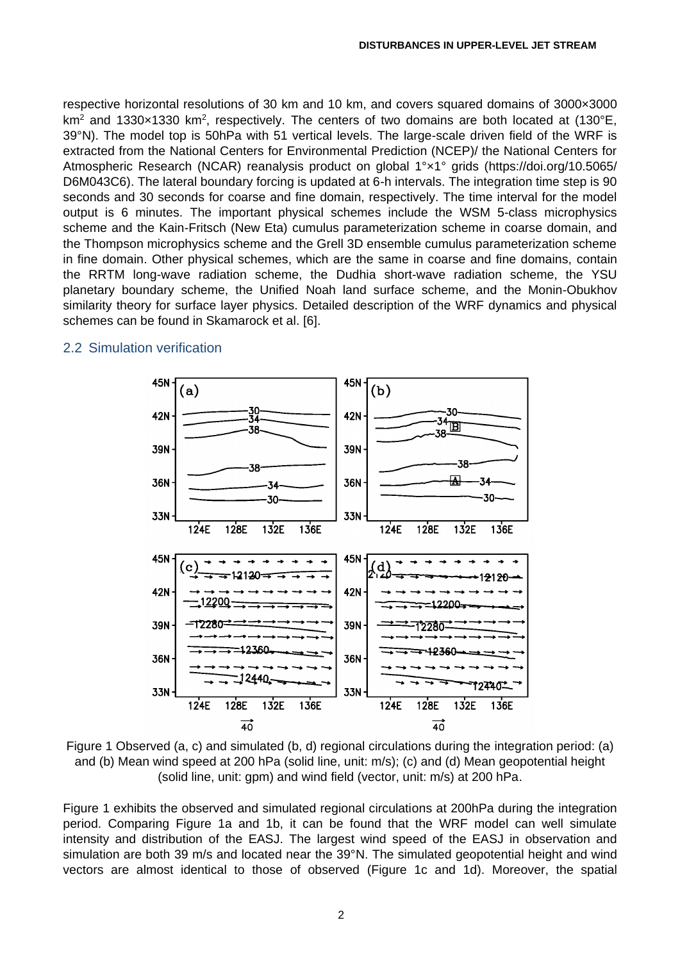respective horizontal resolutions of 30 km and 10 km, and covers squared domains of 3000×3000 km<sup>2</sup> and 1330 $\times$ 1330 km<sup>2</sup>, respectively. The centers of two domains are both located at (130°E, 39°N). The model top is 50hPa with 51 vertical levels. The large-scale driven field of the WRF is extracted from the National Centers for Environmental Prediction (NCEP)/ the National Centers for Atmospheric Research (NCAR) reanalysis product on global 1°×1° grids (https://doi.org/10.5065/ D6M043C6). The lateral boundary forcing is updated at 6-h intervals. The integration time step is 90 seconds and 30 seconds for coarse and fine domain, respectively. The time interval for the model output is 6 minutes. The important physical schemes include the WSM 5-class microphysics scheme and the Kain-Fritsch (New Eta) cumulus parameterization scheme in coarse domain, and the Thompson microphysics scheme and the Grell 3D ensemble cumulus parameterization scheme in fine domain. Other physical schemes, which are the same in coarse and fine domains, contain the RRTM long-wave radiation scheme, the Dudhia short-wave radiation scheme, the YSU planetary boundary scheme, the Unified Noah land surface scheme, and the Monin-Obukhov similarity theory for surface layer physics. Detailed description of the WRF dynamics and physical schemes can be found in Skamarock et al. [6].



# 2.2 Simulation verification

Figure 1 Observed (a, c) and simulated (b, d) regional circulations during the integration period: (a) and (b) Mean wind speed at 200 hPa (solid line, unit: m/s); (c) and (d) Mean geopotential height (solid line, unit: gpm) and wind field (vector, unit: m/s) at 200 hPa.

Figure 1 exhibits the observed and simulated regional circulations at 200hPa during the integration period. Comparing Figure 1a and 1b, it can be found that the WRF model can well simulate intensity and distribution of the EASJ. The largest wind speed of the EASJ in observation and simulation are both 39 m/s and located near the 39°N. The simulated geopotential height and wind vectors are almost identical to those of observed (Figure 1c and 1d). Moreover, the spatial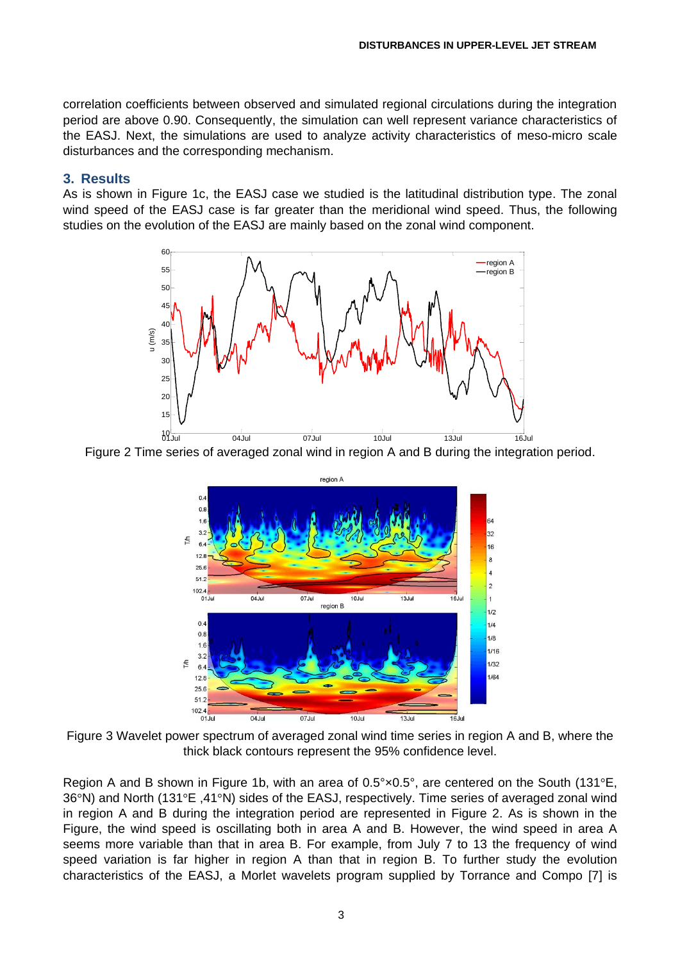correlation coefficients between observed and simulated regional circulations during the integration period are above 0.90. Consequently, the simulation can well represent variance characteristics of the EASJ. Next, the simulations are used to analyze activity characteristics of meso-micro scale disturbances and the corresponding mechanism.

### **3. Results**

As is shown in Figure 1c, the EASJ case we studied is the latitudinal distribution type. The zonal wind speed of the EASJ case is far greater than the meridional wind speed. Thus, the following studies on the evolution of the EASJ are mainly based on the zonal wind component.



Figure 2 Time series of averaged zonal wind in region A and B during the integration period.



Figure 3 Wavelet power spectrum of averaged zonal wind time series in region A and B, where the thick black contours represent the 95% confidence level.

Region A and B shown in Figure 1b, with an area of  $0.5^{\circ} \times 0.5^{\circ}$ , are centered on the South (131 $^{\circ}$ E, 36°N) and North (131°E ,41°N) sides of the EASJ, respectively. Time series of averaged zonal wind in region A and B during the integration period are represented in Figure 2. As is shown in the Figure, the wind speed is oscillating both in area A and B. However, the wind speed in area A seems more variable than that in area B. For example, from July 7 to 13 the frequency of wind speed variation is far higher in region A than that in region B. To further study the evolution characteristics of the EASJ, a Morlet wavelets program supplied by Torrance and Compo [7] is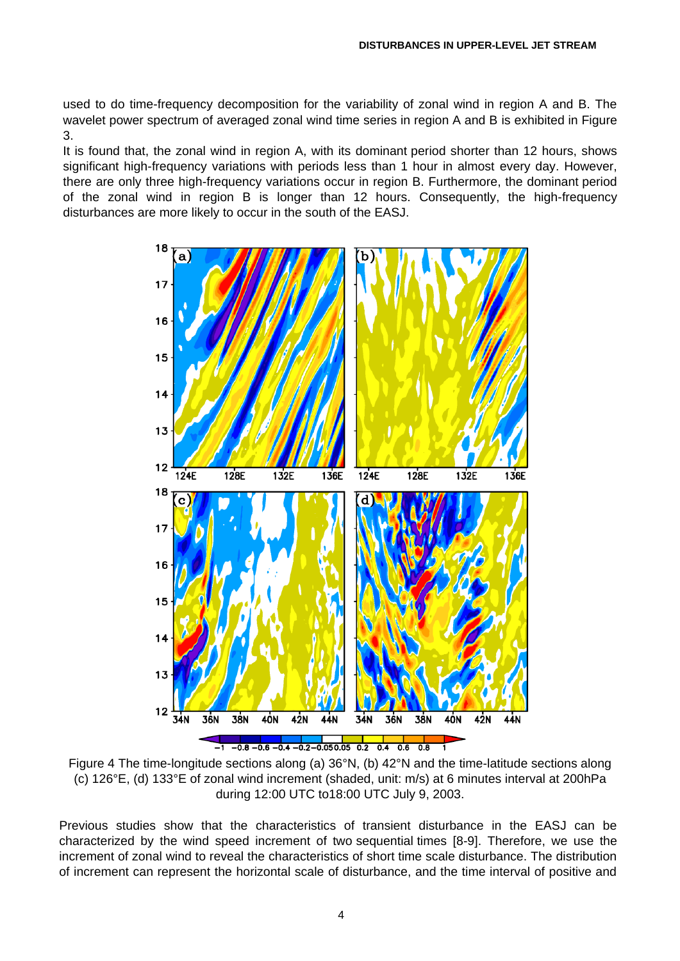used to do time-frequency decomposition for the variability of zonal wind in region A and B. The wavelet power spectrum of averaged zonal wind time series in region A and B is exhibited in Figure 3.

It is found that, the zonal wind in region A, with its dominant period shorter than 12 hours, shows significant high-frequency variations with periods less than 1 hour in almost every day. However, there are only three high-frequency variations occur in region B. Furthermore, the dominant period of the zonal wind in region B is longer than 12 hours. Consequently, the high-frequency disturbances are more likely to occur in the south of the EASJ.



Figure 4 The time-longitude sections along (a) 36°N, (b) 42°N and the time-latitude sections along (c) 126°E, (d) 133°E of zonal wind increment (shaded, unit: m/s) at 6 minutes interval at 200hPa during 12:00 UTC to18:00 UTC July 9, 2003.

Previous studies show that the characteristics of transient disturbance in the EASJ can be characterized by the wind speed increment of two sequential times [8-9]. Therefore, we use the increment of zonal wind to reveal the characteristics of short time scale disturbance. The distribution of increment can represent the horizontal scale of disturbance, and the time interval of positive and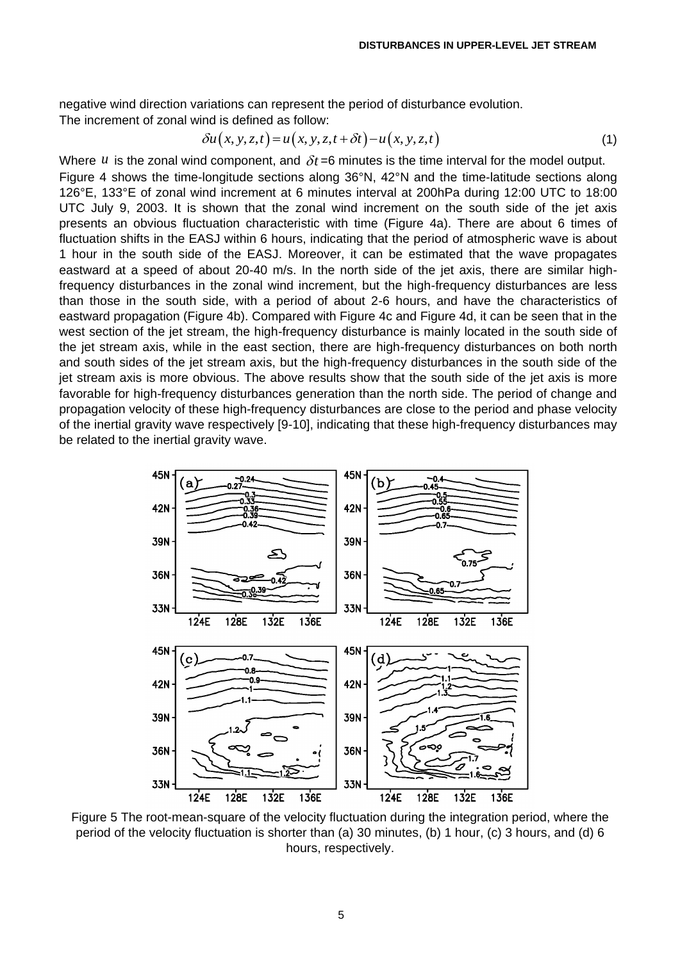negative wind direction variations can represent the period of disturbance evolution. The increment of zonal wind is defined as follow:

$$
\delta u(x, y, z, t) = u(x, y, z, t + \delta t) - u(x, y, z, t)
$$
\n<sup>(1)</sup>

Where  $u$  is the zonal wind component, and  $\delta t$  =6 minutes is the time interval for the model output. Figure 4 shows the time-longitude sections along 36°N, 42°N and the time-latitude sections along 126°E, 133°E of zonal wind increment at 6 minutes interval at 200hPa during 12:00 UTC to 18:00 UTC July 9, 2003. It is shown that the zonal wind increment on the south side of the jet axis presents an obvious fluctuation characteristic with time (Figure 4a). There are about 6 times of fluctuation shifts in the EASJ within 6 hours, indicating that the period of atmospheric wave is about 1 hour in the south side of the EASJ. Moreover, it can be estimated that the wave propagates eastward at a speed of about 20-40 m/s. In the north side of the jet axis, there are similar highfrequency disturbances in the zonal wind increment, but the high-frequency disturbances are less than those in the south side, with a period of about 2-6 hours, and have the characteristics of eastward propagation (Figure 4b). Compared with Figure 4c and Figure 4d, it can be seen that in the west section of the jet stream, the high-frequency disturbance is mainly located in the south side of the jet stream axis, while in the east section, there are high-frequency disturbances on both north and south sides of the jet stream axis, but the high-frequency disturbances in the south side of the jet stream axis is more obvious. The above results show that the south side of the jet axis is more favorable for high-frequency disturbances generation than the north side. The period of change and propagation velocity of these high-frequency disturbances are close to the period and phase velocity of the inertial gravity wave respectively [9-10], indicating that these high-frequency disturbances may be related to the inertial gravity wave.



Figure 5 The root-mean-square of the velocity fluctuation during the integration period, where the period of the velocity fluctuation is shorter than (a) 30 minutes, (b) 1 hour, (c) 3 hours, and (d) 6 hours, respectively.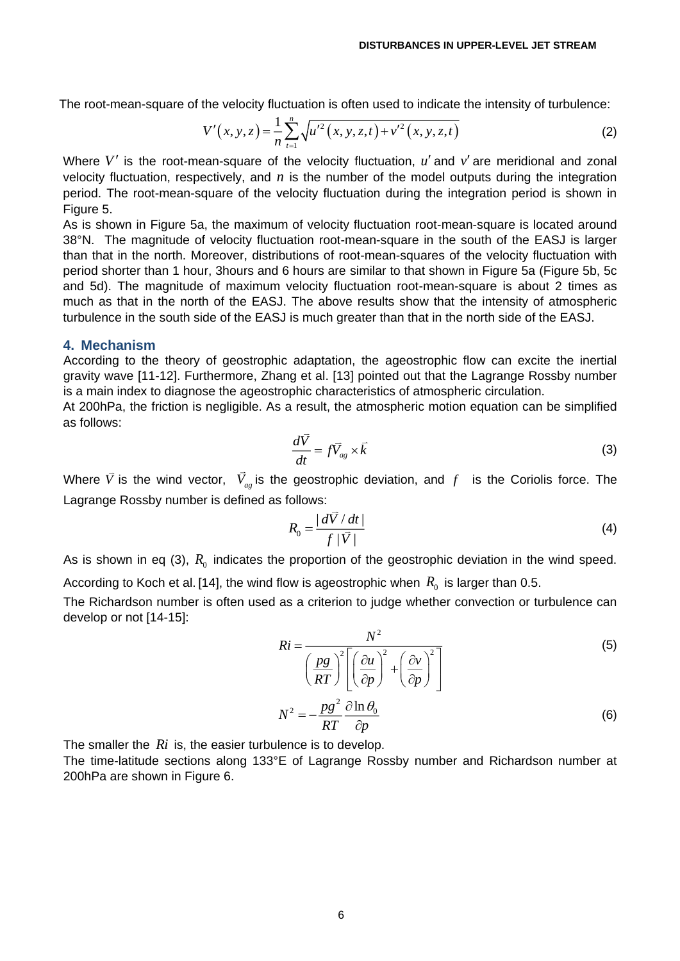The root-mean-square of the velocity fluctuation is often used to indicate the intensity of turbulence:  
\n
$$
V'(x, y, z) = \frac{1}{n} \sum_{t=1}^{n} \sqrt{u'^2(x, y, z, t) + v'^2(x, y, z, t)}
$$
\n(2)

Where  $V'$  is the root-mean-square of the velocity fluctuation,  $u'$  and  $v'$  are meridional and zonal velocity fluctuation, respectively, and  $n$  is the number of the model outputs during the integration period. The root-mean-square of the velocity fluctuation during the integration period is shown in Figure 5.

As is shown in Figure 5a, the maximum of velocity fluctuation root-mean-square is located around 38°N. The magnitude of velocity fluctuation root-mean-square in the south of the EASJ is larger than that in the north. Moreover, distributions of root-mean-squares of the velocity fluctuation with period shorter than 1 hour, 3hours and 6 hours are similar to that shown in Figure 5a (Figure 5b, 5c and 5d). The magnitude of maximum velocity fluctuation root-mean-square is about 2 times as much as that in the north of the EASJ. The above results show that the intensity of atmospheric turbulence in the south side of the EASJ is much greater than that in the north side of the EASJ.

## **4. Mechanism**

According to the theory of geostrophic adaptation, the ageostrophic flow can excite the inertial gravity wave [11-12]. Furthermore, Zhang et al. [13] pointed out that the Lagrange Rossby number is a main index to diagnose the ageostrophic characteristics of atmospheric circulation.

At 200hPa, the friction is negligible. As a result, the atmospheric motion equation can be simplified as follows:

$$
\frac{d\vec{V}}{dt} = f\vec{V}_{ag} \times \vec{k} \tag{3}
$$

Where  $\bar{V}$  is the wind vector,  $V_{ag}$  is the geostrophic deviation, and  $f$  is the Coriolis force. The Lagrange Rossby number is defined as follows:

$$
R_0 = \frac{|d\overline{V}/dt|}{f|\overline{V}|} \tag{4}
$$

As is shown in eq (3),  $R_{0}$  indicates the proportion of the geostrophic deviation in the wind speed. According to Koch et al. [14], the wind flow is ageostrophic when  $\,R_{_0}\,$  is larger than 0.5.

The Richardson number is often used as a criterion to judge whether convection or turbulence can develop or not [14-15]:

$$
Ri = \frac{N^2}{\left(\frac{pg}{RT}\right)^2 \left[\left(\frac{\partial u}{\partial p}\right)^2 + \left(\frac{\partial v}{\partial p}\right)^2\right]}
$$
(5)

$$
N^2 = -\frac{pg^2}{RT} \frac{\partial \ln \theta_0}{\partial p}
$$
 (6)

The smaller the Ri is, the easier turbulence is to develop.

The time-latitude sections along 133°E of Lagrange Rossby number and Richardson number at 200hPa are shown in Figure 6.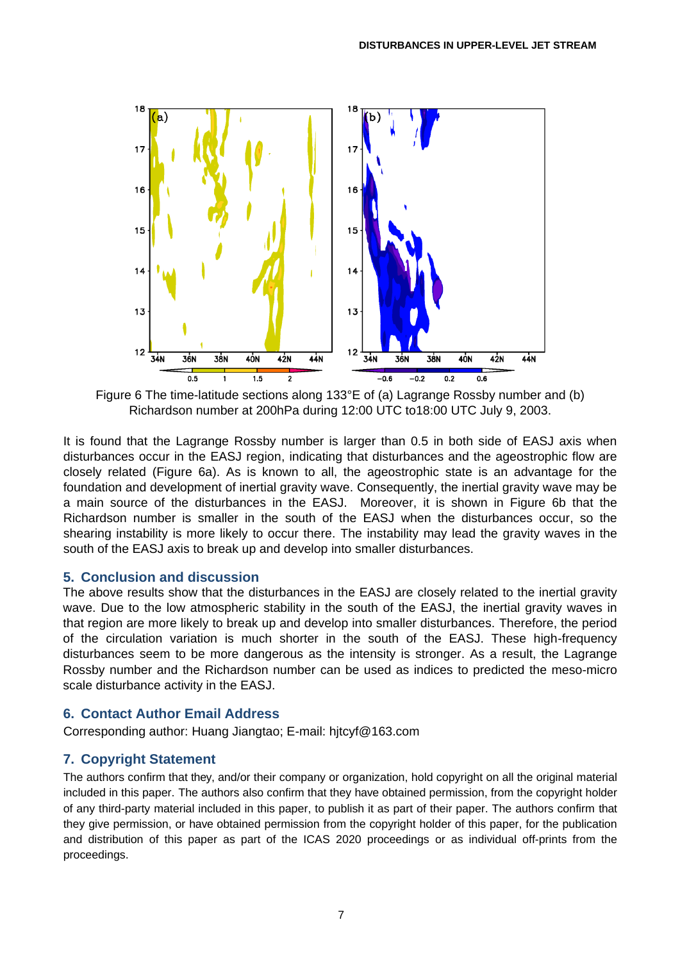

Figure 6 The time-latitude sections along 133°E of (a) Lagrange Rossby number and (b) Richardson number at 200hPa during 12:00 UTC to18:00 UTC July 9, 2003.

It is found that the Lagrange Rossby number is larger than 0.5 in both side of EASJ axis when disturbances occur in the EASJ region, indicating that disturbances and the ageostrophic flow are closely related (Figure 6a). As is known to all, the ageostrophic state is an advantage for the foundation and development of inertial gravity wave. Consequently, the inertial gravity wave may be a main source of the disturbances in the EASJ. Moreover, it is shown in Figure 6b that the Richardson number is smaller in the south of the EASJ when the disturbances occur, so the shearing instability is more likely to occur there. The instability may lead the gravity waves in the south of the EASJ axis to break up and develop into smaller disturbances.

## **5. Conclusion and discussion**

The above results show that the disturbances in the EASJ are closely related to the inertial gravity wave. Due to the low atmospheric stability in the south of the EASJ, the inertial gravity waves in that region are more likely to break up and develop into smaller disturbances. Therefore, the period of the circulation variation is much shorter in the south of the EASJ. These high-frequency disturbances seem to be more dangerous as the intensity is stronger. As a result, the Lagrange Rossby number and the Richardson number can be used as indices to predicted the meso-micro scale disturbance activity in the EASJ.

# **6. Contact Author Email Address**

Corresponding author: Huang Jiangtao; E-mail: hjtcyf@163.com

# **7. Copyright Statement**

The authors confirm that they, and/or their company or organization, hold copyright on all the original material included in this paper. The authors also confirm that they have obtained permission, from the copyright holder of any third-party material included in this paper, to publish it as part of their paper. The authors confirm that they give permission, or have obtained permission from the copyright holder of this paper, for the publication and distribution of this paper as part of the ICAS 2020 proceedings or as individual off-prints from the proceedings.